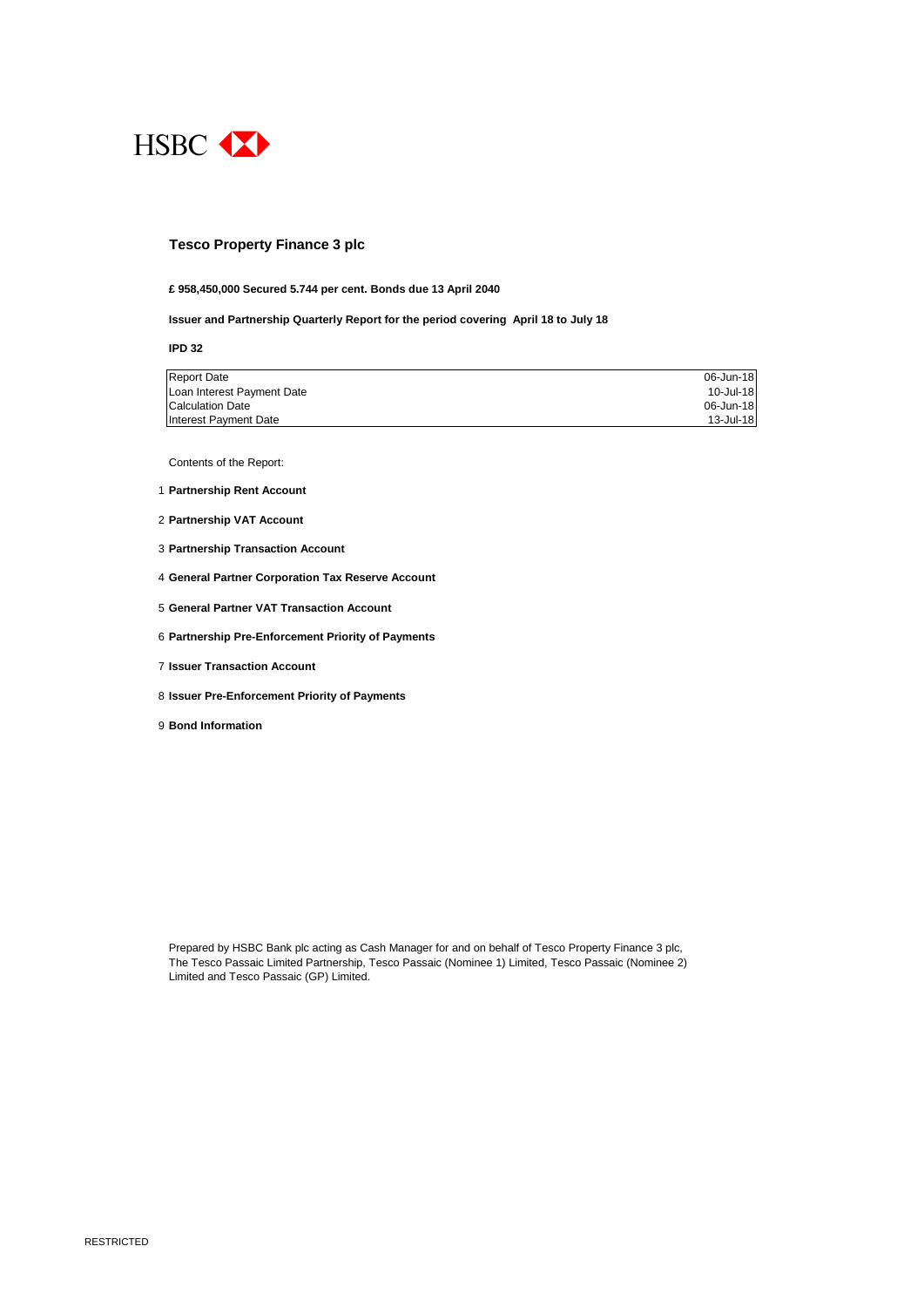

#### **Tesco Property Finance 3 plc**

#### **£ 958,450,000 Secured 5.744 per cent. Bonds due 13 April 2040**

**Issuer and Partnership Quarterly Report for the period covering April 18 to July 18**

**IPD 32**

| <b>Report Date</b>         | 06-Jun-18 |
|----------------------------|-----------|
| Loan Interest Payment Date | 10-Jul-18 |
| <b>Calculation Date</b>    | 06-Jun-18 |
| Interest Payment Date      | 13-Jul-18 |

Contents of the Report:

- 1 **Partnership Rent Account**
- 2 **Partnership VAT Account**
- 3 **Partnership Transaction Account**
- 4 **General Partner Corporation Tax Reserve Account**
- 5 **General Partner VAT Transaction Account**
- 6 **Partnership Pre-Enforcement Priority of Payments**
- 7 **Issuer Transaction Account**
- 8 **Issuer Pre-Enforcement Priority of Payments**
- 9 **Bond Information**

Prepared by HSBC Bank plc acting as Cash Manager for and on behalf of Tesco Property Finance 3 plc, The Tesco Passaic Limited Partnership, Tesco Passaic (Nominee 1) Limited, Tesco Passaic (Nominee 2) Limited and Tesco Passaic (GP) Limited.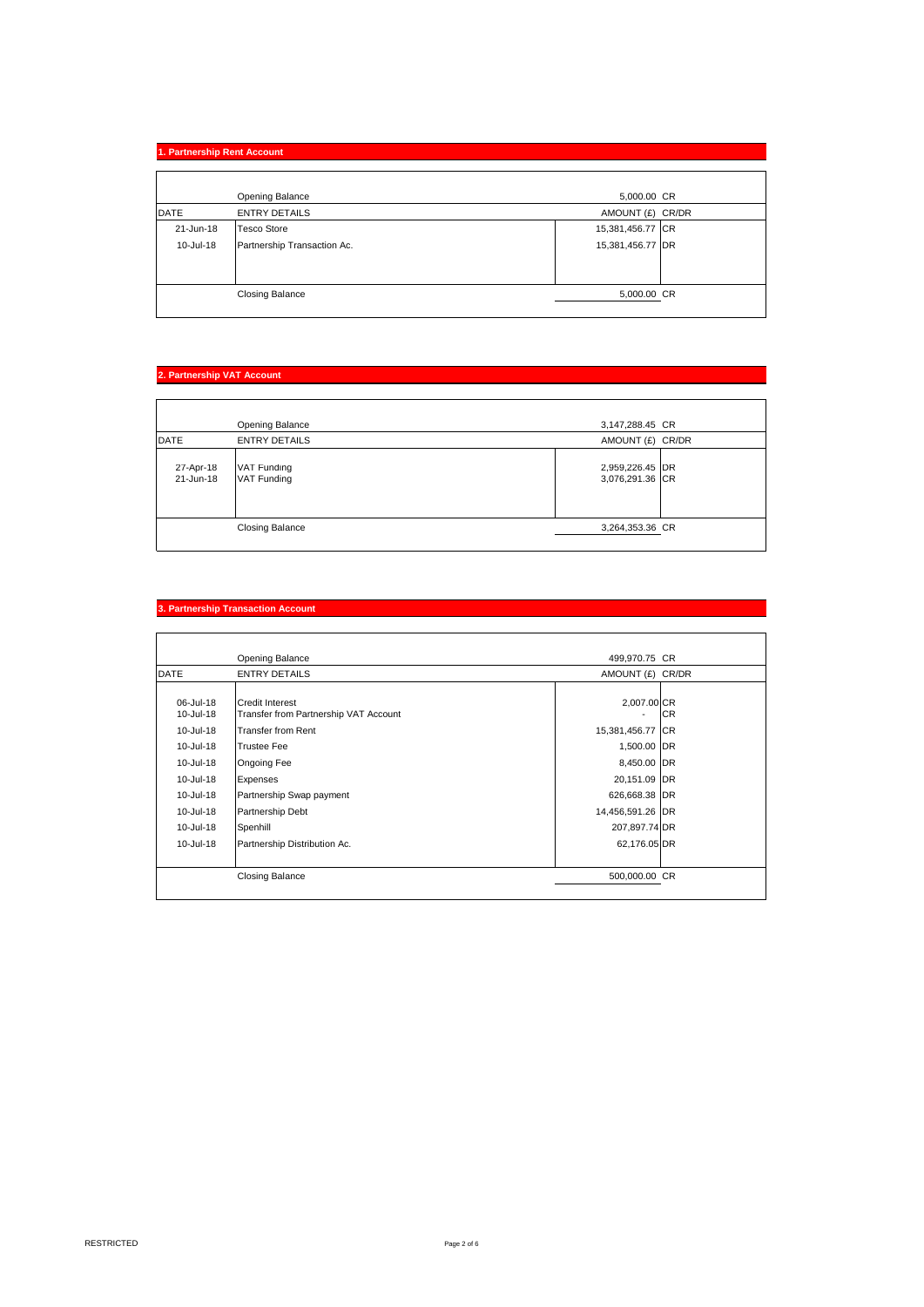|             | 1. Partnership Rent Account |  |                  |
|-------------|-----------------------------|--|------------------|
|             |                             |  |                  |
|             | Opening Balance             |  | 5,000.00 CR      |
| <b>DATE</b> | <b>ENTRY DETAILS</b>        |  | AMOUNT (£) CR/DR |
| 21-Jun-18   | <b>Tesco Store</b>          |  | 15,381,456.77 CR |
| 10-Jul-18   | Partnership Transaction Ac. |  | 15,381,456.77 DR |
|             |                             |  |                  |
|             |                             |  |                  |
|             | <b>Closing Balance</b>      |  | 5,000.00 CR      |
|             |                             |  |                  |

## **2. Partnership VAT Account**

|                        | Opening Balance            | 3,147,288.45 CR                    |
|------------------------|----------------------------|------------------------------------|
| DATE                   | <b>ENTRY DETAILS</b>       | AMOUNT (£) CR/DR                   |
| 27-Apr-18<br>21-Jun-18 | VAT Funding<br>VAT Funding | 2,959,226.45 DR<br>3,076,291.36 CR |
|                        | <b>Closing Balance</b>     | 3,264,353.36 CR                    |

|                        | Opening Balance                                                 | 499,970.75 CR    |           |
|------------------------|-----------------------------------------------------------------|------------------|-----------|
| <b>DATE</b>            | <b>ENTRY DETAILS</b>                                            | AMOUNT (£) CR/DR |           |
| 06-Jul-18<br>10-Jul-18 | <b>Credit Interest</b><br>Transfer from Partnership VAT Account | 2,007.00 CR      | <b>CR</b> |
| 10-Jul-18              | <b>Transfer from Rent</b>                                       | 15,381,456.77 CR |           |
| 10-Jul-18              | <b>Trustee Fee</b>                                              | 1,500.00 DR      |           |
| 10-Jul-18              | Ongoing Fee                                                     | 8,450.00 DR      |           |
| 10-Jul-18              | Expenses                                                        | 20,151.09 DR     |           |
| 10-Jul-18              | Partnership Swap payment                                        | 626,668.38 DR    |           |
| 10-Jul-18              | Partnership Debt                                                | 14,456,591.26 DR |           |
| 10-Jul-18              | Spenhill                                                        | 207,897.74 DR    |           |
| 10-Jul-18              | Partnership Distribution Ac.                                    | 62,176.05 DR     |           |
|                        | <b>Closing Balance</b>                                          | 500,000.00 CR    |           |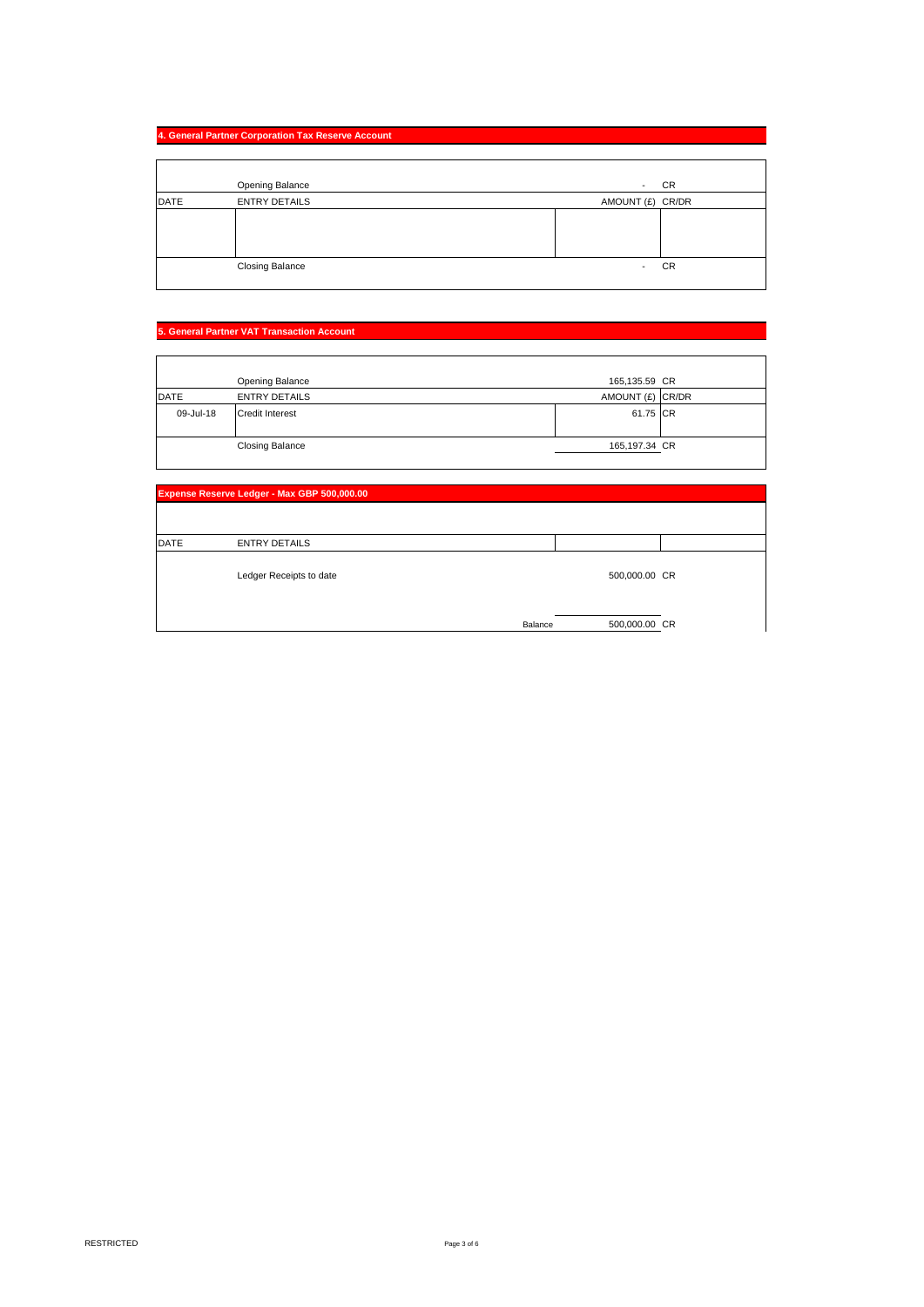## **4. General Partner Corporation Tax Reserve Account**

|             | Opening Balance        | CR<br>$\overline{\phantom{a}}$ |
|-------------|------------------------|--------------------------------|
| <b>DATE</b> | <b>ENTRY DETAILS</b>   | AMOUNT (£) CR/DR               |
|             |                        |                                |
|             |                        |                                |
|             | <b>Closing Balance</b> | <b>CR</b><br>٠                 |

## **5. General Partner VAT Transaction Account**

|           | Opening Balance        | 165,135.59 CR    |  |
|-----------|------------------------|------------------|--|
| DATE      | <b>ENTRY DETAILS</b>   | AMOUNT (£) CR/DR |  |
| 09-Jul-18 | <b>Credit Interest</b> | 61.75 CR         |  |
|           | <b>Closing Balance</b> | 165,197.34 CR    |  |

| Expense Reserve Ledger - Max GBP 500,000.00 |                         |         |               |  |
|---------------------------------------------|-------------------------|---------|---------------|--|
|                                             |                         |         |               |  |
| <b>DATE</b>                                 | <b>ENTRY DETAILS</b>    |         |               |  |
|                                             | Ledger Receipts to date |         | 500,000.00 CR |  |
|                                             |                         | Balance | 500,000.00 CR |  |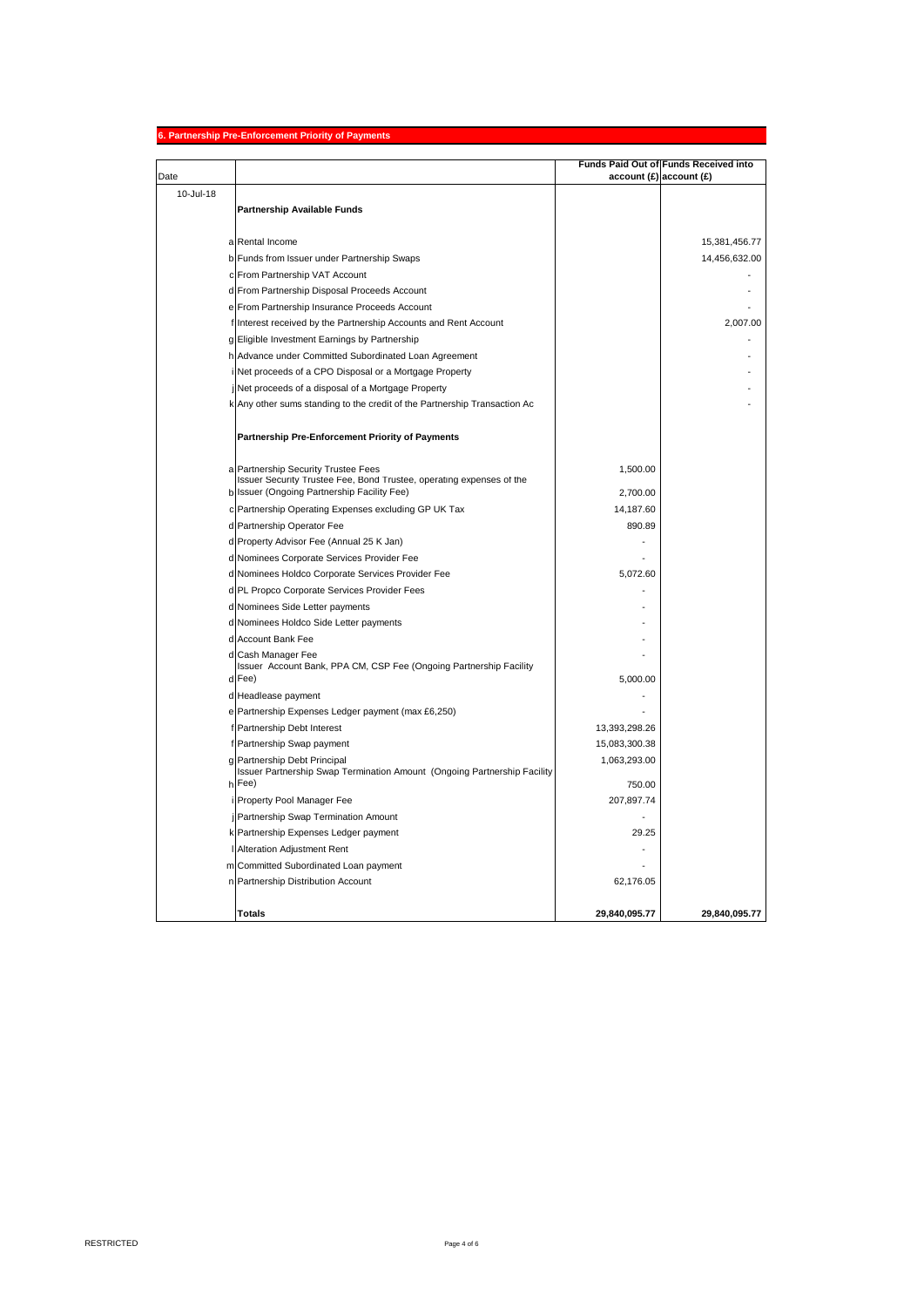### **6. Partnership Pre-Enforcement Priority of Payments**

| Date      |                                                                                                             |               | Funds Paid Out of Funds Received into<br>account(E) account(E) |
|-----------|-------------------------------------------------------------------------------------------------------------|---------------|----------------------------------------------------------------|
| 10-Jul-18 |                                                                                                             |               |                                                                |
|           | Partnership Available Funds                                                                                 |               |                                                                |
|           |                                                                                                             |               |                                                                |
|           | a Rental Income                                                                                             |               | 15,381,456.77                                                  |
|           | b Funds from Issuer under Partnership Swaps                                                                 |               | 14,456,632.00                                                  |
|           | c From Partnership VAT Account                                                                              |               |                                                                |
|           | d From Partnership Disposal Proceeds Account                                                                |               |                                                                |
|           | e From Partnership Insurance Proceeds Account                                                               |               |                                                                |
|           | f Interest received by the Partnership Accounts and Rent Account                                            |               | 2,007.00                                                       |
|           | g Eligible Investment Earnings by Partnership                                                               |               |                                                                |
|           | h Advance under Committed Subordinated Loan Agreement                                                       |               |                                                                |
|           | i Net proceeds of a CPO Disposal or a Mortgage Property                                                     |               |                                                                |
|           | j Net proceeds of a disposal of a Mortgage Property                                                         |               |                                                                |
|           | k Any other sums standing to the credit of the Partnership Transaction Ac                                   |               |                                                                |
|           | Partnership Pre-Enforcement Priority of Payments                                                            |               |                                                                |
|           |                                                                                                             |               |                                                                |
|           | a Partnership Security Trustee Fees<br>Issuer Security Trustee Fee, Bond Trustee, operating expenses of the | 1.500.00      |                                                                |
|           | b Issuer (Ongoing Partnership Facility Fee)                                                                 | 2,700.00      |                                                                |
|           | c Partnership Operating Expenses excluding GP UK Tax                                                        | 14,187.60     |                                                                |
|           | d Partnership Operator Fee                                                                                  | 890.89        |                                                                |
|           | d Property Advisor Fee (Annual 25 K Jan)                                                                    |               |                                                                |
|           | d Nominees Corporate Services Provider Fee                                                                  |               |                                                                |
|           | d Nominees Holdco Corporate Services Provider Fee                                                           | 5,072.60      |                                                                |
|           | d PL Propco Corporate Services Provider Fees                                                                |               |                                                                |
|           | d Nominees Side Letter payments                                                                             |               |                                                                |
|           | d Nominees Holdco Side Letter payments                                                                      |               |                                                                |
|           | d Account Bank Fee                                                                                          |               |                                                                |
|           | d Cash Manager Fee                                                                                          |               |                                                                |
|           | Issuer Account Bank, PPA CM, CSP Fee (Ongoing Partnership Facility                                          |               |                                                                |
|           | d Fee)                                                                                                      | 5,000.00      |                                                                |
|           | d Headlease payment                                                                                         |               |                                                                |
|           | e Partnership Expenses Ledger payment (max £6,250)                                                          |               |                                                                |
|           | f Partnership Debt Interest                                                                                 | 13,393,298.26 |                                                                |
|           | f Partnership Swap payment                                                                                  | 15,083,300.38 |                                                                |
|           | g Partnership Debt Principal                                                                                | 1,063,293.00  |                                                                |
|           | Issuer Partnership Swap Termination Amount (Ongoing Partnership Facility<br>h Fee)                          | 750.00        |                                                                |
|           | i Property Pool Manager Fee                                                                                 | 207,897.74    |                                                                |
|           | j Partnership Swap Termination Amount                                                                       |               |                                                                |
|           | k Partnership Expenses Ledger payment                                                                       | 29.25         |                                                                |
|           | I Alteration Adjustment Rent                                                                                |               |                                                                |
|           | m Committed Subordinated Loan payment                                                                       |               |                                                                |
|           | n Partnership Distribution Account                                                                          | 62,176.05     |                                                                |
|           |                                                                                                             |               |                                                                |
|           | <b>Totals</b>                                                                                               | 29,840,095.77 | 29,840,095.77                                                  |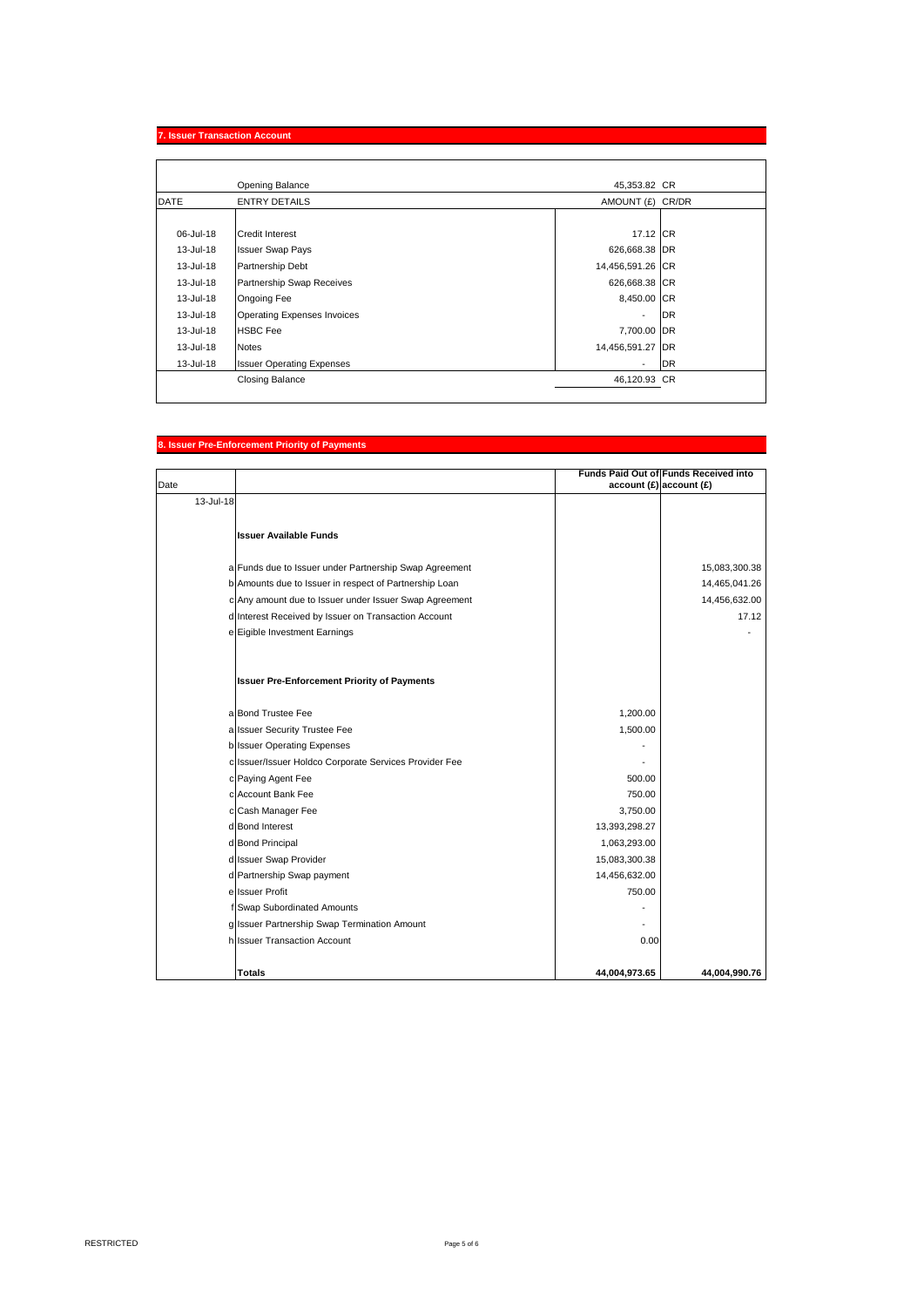## **7. Issuer Transaction Account**

|             | Opening Balance                    | 45,353.82 CR     |           |
|-------------|------------------------------------|------------------|-----------|
| <b>DATE</b> | <b>ENTRY DETAILS</b>               | AMOUNT (£) CR/DR |           |
|             |                                    |                  |           |
| 06-Jul-18   | <b>Credit Interest</b>             | 17.12 CR         |           |
| 13-Jul-18   | <b>Issuer Swap Pays</b>            | 626,668.38 DR    |           |
| 13-Jul-18   | Partnership Debt                   | 14,456,591.26 CR |           |
| 13-Jul-18   | Partnership Swap Receives          | 626,668.38 CR    |           |
| 13-Jul-18   | Ongoing Fee                        | 8,450.00 CR      |           |
| 13-Jul-18   | <b>Operating Expenses Invoices</b> | ٠                | <b>DR</b> |
| 13-Jul-18   | <b>HSBC Fee</b>                    | 7,700.00 DR      |           |
| 13-Jul-18   | <b>Notes</b>                       | 14,456,591.27 DR |           |
| 13-Jul-18   | <b>Issuer Operating Expenses</b>   | ٠                | <b>DR</b> |
|             | <b>Closing Balance</b>             | 46,120.93 CR     |           |

# **8. Issuer Pre-Enforcement Priority of Payments**

|           |                                                        |                            | Funds Paid Out of Funds Received into |
|-----------|--------------------------------------------------------|----------------------------|---------------------------------------|
| Date      |                                                        | $account(E)$ account $(E)$ |                                       |
| 13-Jul-18 |                                                        |                            |                                       |
|           |                                                        |                            |                                       |
|           | <b>Issuer Available Funds</b>                          |                            |                                       |
|           |                                                        |                            |                                       |
|           | a Funds due to Issuer under Partnership Swap Agreement |                            | 15,083,300.38                         |
|           | b Amounts due to Issuer in respect of Partnership Loan |                            | 14,465,041.26                         |
|           | c Any amount due to Issuer under Issuer Swap Agreement |                            | 14,456,632.00                         |
|           | d Interest Received by Issuer on Transaction Account   |                            | 17.12                                 |
|           | e Eigible Investment Earnings                          |                            |                                       |
|           |                                                        |                            |                                       |
|           |                                                        |                            |                                       |
|           | <b>Issuer Pre-Enforcement Priority of Payments</b>     |                            |                                       |
|           |                                                        |                            |                                       |
|           | a Bond Trustee Fee                                     | 1,200.00                   |                                       |
|           | a Issuer Security Trustee Fee                          | 1,500.00                   |                                       |
|           | b Issuer Operating Expenses                            |                            |                                       |
|           | c Issuer/Issuer Holdco Corporate Services Provider Fee |                            |                                       |
|           | c Paying Agent Fee                                     | 500.00                     |                                       |
|           | c Account Bank Fee                                     | 750.00                     |                                       |
|           | c Cash Manager Fee                                     | 3,750.00                   |                                       |
|           | d Bond Interest                                        | 13,393,298.27              |                                       |
|           | d Bond Principal                                       | 1,063,293.00               |                                       |
|           | d Issuer Swap Provider                                 | 15,083,300.38              |                                       |
|           | d Partnership Swap payment                             | 14,456,632.00              |                                       |
|           | ellssuer Profit                                        | 750.00                     |                                       |
|           | f Swap Subordinated Amounts                            |                            |                                       |
|           | g Issuer Partnership Swap Termination Amount           |                            |                                       |
|           | h Issuer Transaction Account                           | 0.00                       |                                       |
|           |                                                        |                            |                                       |
|           | <b>Totals</b>                                          | 44,004,973.65              | 44.004.990.76                         |